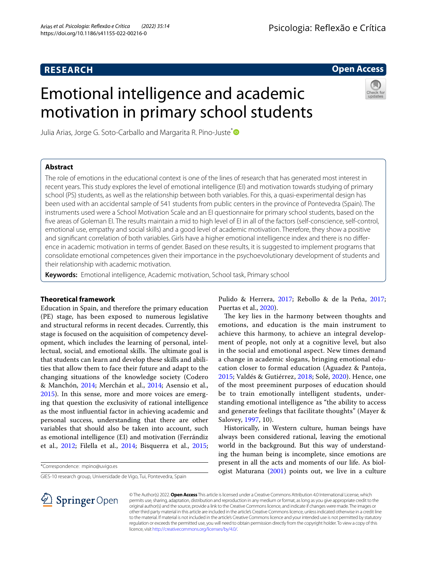# **RESEARCH**

# **Open Access**

# Emotional intelligence and academic motivation in primary school students

Julia Arias, Jorge G. Soto-Carballo and Margarita R. Pino-Juste<sup>\*</sup>

# **Abstract**

The role of emotions in the educational context is one of the lines of research that has generated most interest in recent years. This study explores the level of emotional intelligence (EI) and motivation towards studying of primary school (PS) students, as well as the relationship between both variables. For this, a quasi-experimental design has been used with an accidental sample of 541 students from public centers in the province of Pontevedra (Spain). The instruments used were a School Motivation Scale and an EI questionnaire for primary school students, based on the fve areas of Goleman EI. The results maintain a mid to high level of EI in all of the factors (self-conscience, self-control, emotional use, empathy and social skills) and a good level of academic motivation. Therefore, they show a positive and significant correlation of both variables. Girls have a higher emotional intelligence index and there is no difference in academic motivation in terms of gender. Based on these results, it is suggested to implement programs that consolidate emotional competences given their importance in the psychoevolutionary development of students and their relationship with academic motivation.

**Keywords:** Emotional intelligence, Academic motivation, School task, Primary school

# **Theoretical framework**

Education in Spain, and therefore the primary education (PE) stage, has been exposed to numerous legislative and structural reforms in recent decades. Currently, this stage is focused on the acquisition of competency development, which includes the learning of personal, intellectual, social, and emotional skills. The ultimate goal is that students can learn and develop these skills and abilities that allow them to face their future and adapt to the changing situations of the knowledge society (Codero & Manchón, [2014;](#page-7-0) Merchán et al., [2014;](#page-8-0) Asensio et al., [2015](#page-7-1)). In this sense, more and more voices are emerging that question the exclusivity of rational intelligence as the most infuential factor in achieving academic and personal success, understanding that there are other variables that should also be taken into account, such as emotional intelligence (EI) and motivation (Ferrándiz et al., [2012;](#page-7-2) Filella et al., [2014;](#page-7-3) Bisquerra et al., [2015](#page-7-4);

\*Correspondence: mpino@uvigo.es

GIES-10 research group, Universidade de Vigo, Tui, Pontevedra, Spain

Pulido & Herrera, [2017;](#page-8-1) Rebollo & de la Peña, [2017](#page-8-2); Puertas et al., [2020](#page-8-3)).

The key lies in the harmony between thoughts and emotions, and education is the main instrument to achieve this harmony, to achieve an integral development of people, not only at a cognitive level, but also in the social and emotional aspect. New times demand a change in academic slogans, bringing emotional education closer to formal education (Aguadez & Pantoja, [2015;](#page-7-5) Valdés & Gutiérrez, [2018;](#page-8-4) Solé, [2020](#page-8-5)). Hence, one of the most preeminent purposes of education should be to train emotionally intelligent students, understanding emotional intelligence as "the ability to access and generate feelings that facilitate thoughts" (Mayer & Salovey, [1997](#page-8-6), 10).

Historically, in Western culture, human beings have always been considered rational, leaving the emotional world in the background. But this way of understanding the human being is incomplete, since emotions are present in all the acts and moments of our life. As biologist Maturana [\(2001](#page-8-7)) points out, we live in a culture



© The Author(s) 2022. **Open Access** This article is licensed under a Creative Commons Attribution 4.0 International License, which permits use, sharing, adaptation, distribution and reproduction in any medium or format, as long as you give appropriate credit to the original author(s) and the source, provide a link to the Creative Commons licence, and indicate if changes were made. The images or other third party material in this article are included in the article's Creative Commons licence, unless indicated otherwise in a credit line to the material. If material is not included in the article's Creative Commons licence and your intended use is not permitted by statutory regulation or exceeds the permitted use, you will need to obtain permission directly from the copyright holder. To view a copy of this licence, visit [http://creativecommons.org/licenses/by/4.0/.](http://creativecommons.org/licenses/by/4.0/)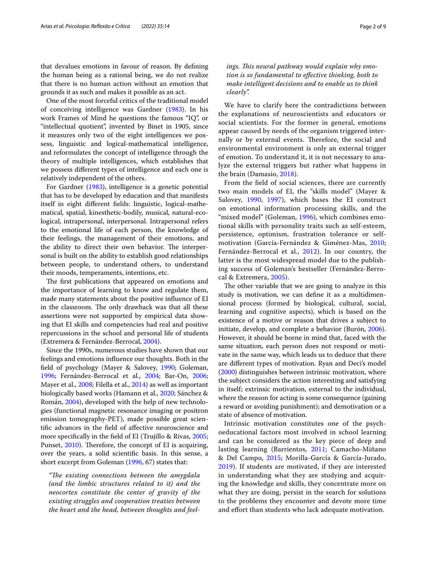that devalues emotions in favour of reason. By defning the human being as a rational being, we do not realize that there is no human action without an emotion that grounds it as such and makes it possible as an act.

One of the most forceful critics of the traditional model of conceiving intelligence was Gardner [\(1983](#page-8-8)). In his work Frames of Mind he questions the famous "IQ", or "intellectual quotient", invented by Binet in 1905, since it measures only two of the eight intelligences we possess, linguistic and logical-mathematical intelligence, and reformulates the concept of intelligence through the theory of multiple intelligences, which establishes that we possess diferent types of intelligence and each one is relatively independent of the others.

For Gardner [\(1983](#page-8-8)), intelligence is a genetic potential that has to be developed by education and that manifests itself in eight diferent felds: linguistic, logical-mathematical, spatial, kinesthetic-bodily, musical, natural-ecological, intrapersonal, interpersonal. Intrapersonal refers to the emotional life of each person, the knowledge of their feelings, the management of their emotions, and the ability to direct their own behavior. The interpersonal is built on the ability to establish good relationships between people, to understand others, to understand their moods, temperaments, intentions, etc.

The first publications that appeared on emotions and the importance of learning to know and regulate them, made many statements about the positive infuence of EI in the classroom. The only drawback was that all these assertions were not supported by empirical data showing that EI skills and competencies had real and positive repercussions in the school and personal life of students (Extremera & Fernández-Berrocal, [2004\)](#page-7-6).

Since the 1990s, numerous studies have shown that our feelings and emotions infuence our thoughts. Both in the feld of psychology (Mayer & Salovey, [1990;](#page-8-9) Goleman, [1996](#page-8-10); Fernández-Berrocal et al., [2004;](#page-7-7) Bar-On, [2006](#page-7-8); Mayer et al., [2008;](#page-8-11) Filella et al., [2014](#page-7-3)) as well as important biologically based works (Hamann et al., [2020;](#page-8-12) Sánchez & Román, [2004\)](#page-8-13), developed with the help of new technologies (functional magnetic resonance imaging or positron emission tomography-PET), made possible great scientifc advances in the feld of afective neuroscience and more specifcally in the feld of EI (Trujillo & Rivas, [2005](#page-8-14); Punset, [2010](#page-8-15)). Therefore, the concept of EI is acquiring, over the years, a solid scientifc basis. In this sense, a short excerpt from Goleman ([1996](#page-8-10), 67) states that:

*"Te existing connections between the amygdala (and the limbic structures related to it) and the neocortex constitute the center of gravity of the existing struggles and cooperation treaties between the heart and the head, between thoughts and feel-*

# ings. This neural pathway would explain why emo*tion is so fundamental to efective thinking, both to make intelligent decisions and to enable us to think clearly".*

We have to clarify here the contradictions between the explanations of neuroscientists and educators or social scientists. For the former in general, emotions appear caused by needs of the organism triggered internally or by external events. Therefore, the social and environmental environment is only an external trigger of emotion. To understand it, it is not necessary to analyze the external triggers but rather what happens in the brain (Damasio, [2018\)](#page-7-9).

From the feld of social sciences, there are currently two main models of EI, the "skills model" (Mayer & Salovey, [1990,](#page-8-9) [1997\)](#page-8-6), which bases the EI construct on emotional information processing skills, and the "mixed model" (Goleman, [1996](#page-8-10)), which combines emotional skills with personality traits such as self-esteem, persistence, optimism, frustration tolerance or selfmotivation (García-Fernández & Giménez-Mas, [2010](#page-7-10); Fernández-Berrocal et al., [2012\)](#page-7-11). In our country, the latter is the most widespread model due to the publishing success of Goleman's bestseller (Fernández-Berrocal & Extremera, [2005](#page-7-12)).

The other variable that we are going to analyze in this study is motivation, we can defne it as a multidimensional process (formed by biological, cultural, social, learning and cognitive aspects), which is based on the existence of a motive or reason that drives a subject to initiate, develop, and complete a behavior (Burón, [2006](#page-7-13)). However, it should be borne in mind that, faced with the same situation, each person does not respond or motivate in the same way, which leads us to deduce that there are diferent types of motivation. Ryan and Deci's model ([2000\)](#page-8-16) distinguishes between intrinsic motivation, where the subject considers the action interesting and satisfying in itself; extrinsic motivation, external to the individual, where the reason for acting is some consequence (gaining a reward or avoiding punishment); and demotivation or a state of absence of motivation.

Intrinsic motivation constitutes one of the psychoeducational factors most involved in school learning and can be considered as the key piece of deep and lasting learning (Barrientos, [2011](#page-7-14); Camacho-Miñano & Del Campo, [2015](#page-7-15); Morilla-García & García-Jurado, [2019\)](#page-8-17). If students are motivated, if they are interested in understanding what they are studying and acquiring the knowledge and skills, they concentrate more on what they are doing, persist in the search for solutions to the problems they encounter and devote more time and effort than students who lack adequate motivation.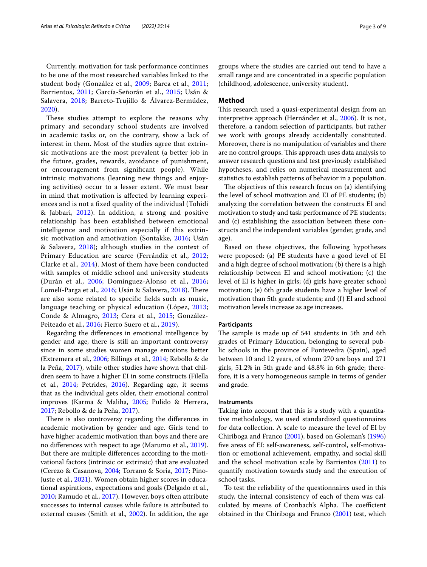These studies attempt to explore the reasons why primary and secondary school students are involved in academic tasks or, on the contrary, show a lack of interest in them. Most of the studies agree that extrinsic motivations are the most prevalent (a better job in the future, grades, rewards, avoidance of punishment, or encouragement from signifcant people). While intrinsic motivations (learning new things and enjoying activities) occur to a lesser extent. We must bear in mind that motivation is afected by learning experiences and is not a fxed quality of the individual (Tohidi & Jabbari, [2012\)](#page-8-20). In addition, a strong and positive relationship has been established between emotional intelligence and motivation especially if this extrinsic motivation and amotivation (Sontakke, [2016](#page-8-21); Usán & Salavera, [2018](#page-8-19)); although studies in the context of Primary Education are scarce (Ferrándiz et al., [2012](#page-7-2); Clarke et al., [2014\)](#page-7-19). Most of them have been conducted with samples of middle school and university students (Durán et al., [2006;](#page-7-20) Domínguez-Alonso et al., [2016](#page-7-21); Lomelí-Parga et al., [2016;](#page-8-22) Usán & Salavera, [2018\)](#page-8-19). There are also some related to specifc felds such as music, language teaching or physical education (López, [2013](#page-8-23); Conde & Almagro, [2013;](#page-7-22) Cera et al., [2015](#page-7-23); González-Peiteado et al., [2016](#page-8-24); Fierro Suero et al., [2019](#page-7-24)).

Regarding the diferences in emotional intelligence by gender and age, there is still an important controversy since in some studies women manage emotions better (Extremera et al., [2006;](#page-7-25) Billings et al., [2014](#page-7-26); Rebollo & de la Peña, [2017\)](#page-8-2), while other studies have shown that children seem to have a higher EI in some constructs (Filella et al., [2014;](#page-7-3) Petrides, [2016](#page-8-25)). Regarding age, it seems that as the individual gets older, their emotional control improves (Karma & Maliha, [2005](#page-8-26); Pulido & Herrera, [2017](#page-8-1); Rebollo & de la Peña, [2017](#page-8-2)).

There is also controversy regarding the differences in academic motivation by gender and age. Girls tend to have higher academic motivation than boys and there are no diferences with respect to age (Marumo et al., [2019](#page-8-27)). But there are multiple diferences according to the motivational factors (intrinsic or extrinsic) that are evaluated (Cerezo & Casanova, [2004;](#page-7-27) Torrano & Soria, [2017](#page-8-28); Pino-Juste et al., [2021](#page-8-29)). Women obtain higher scores in educational aspirations, expectations and goals (Delgado et al., [2010](#page-7-28); Ramudo et al., [2017\)](#page-8-30). However, boys often attribute successes to internal causes while failure is attributed to external causes (Smith et al., [2002\)](#page-8-31). In addition, the age groups where the studies are carried out tend to have a small range and are concentrated in a specifc population (childhood, adolescence, university student).

# **Method**

This research used a quasi-experimental design from an interpretive approach (Hernández et al., [2006](#page-8-32)). It is not, therefore, a random selection of participants, but rather we work with groups already accidentally constituted. Moreover, there is no manipulation of variables and there are no control groups. This approach uses data analysis to answer research questions and test previously established hypotheses, and relies on numerical measurement and statistics to establish patterns of behavior in a population.

The objectives of this research focus on (a) identifying the level of school motivation and EI of PE students; (b) analyzing the correlation between the constructs EI and motivation to study and task performance of PE students; and (c) establishing the association between these constructs and the independent variables (gender, grade, and age).

Based on these objectives, the following hypotheses were proposed: (a) PE students have a good level of EI and a high degree of school motivation; (b) there is a high relationship between EI and school motivation; (c) the level of EI is higher in girls; (d) girls have greater school motivation; (e) 6th grade students have a higher level of motivation than 5th grade students; and (f) EI and school motivation levels increase as age increases.

# **Participants**

The sample is made up of 541 students in 5th and 6th grades of Primary Education, belonging to several public schools in the province of Pontevedra (Spain), aged between 10 and 12 years, of whom 270 are boys and 271 girls, 51.2% in 5th grade and 48.8% in 6th grade; therefore, it is a very homogeneous sample in terms of gender and grade.

# **Instruments**

Taking into account that this is a study with a quantitative methodology, we used standardized questionnaires for data collection. A scale to measure the level of EI by Chiriboga and Franco [\(2001\)](#page-7-29), based on Goleman's ([1996](#page-8-10)) fve areas of EI: self-awareness, self-control, self-motivation or emotional achievement, empathy, and social skill and the school motivation scale by Barrientos ([2011\)](#page-7-14) to quantify motivation towards study and the execution of school tasks.

To test the reliability of the questionnaires used in this study, the internal consistency of each of them was calculated by means of Cronbach's Alpha. The coefficient obtained in the Chiriboga and Franco ([2001](#page-7-29)) test, which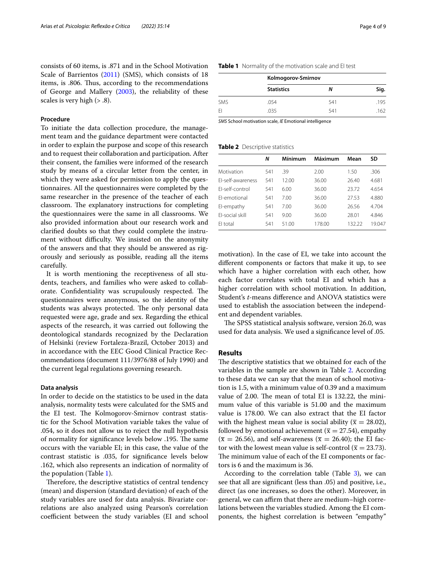consists of 60 items, is .871 and in the School Motivation Scale of Barrientos [\(2011\)](#page-7-14) (SMS), which consists of 18 items, is .806. Thus, according to the recommendations of George and Mallery ([2003](#page-8-33)), the reliability of these scales is very high ( $> 0.8$ ).

## **Procedure**

To initiate the data collection procedure, the management team and the guidance department were contacted in order to explain the purpose and scope of this research and to request their collaboration and participation. After their consent, the families were informed of the research study by means of a circular letter from the center, in which they were asked for permission to apply the questionnaires. All the questionnaires were completed by the same researcher in the presence of the teacher of each classroom. The explanatory instructions for completing the questionnaires were the same in all classrooms. We also provided information about our research work and clarifed doubts so that they could complete the instrument without difficulty. We insisted on the anonymity of the answers and that they should be answered as rigorously and seriously as possible, reading all the items carefully.

It is worth mentioning the receptiveness of all students, teachers, and families who were asked to collaborate. Confidentiality was scrupulously respected. The questionnaires were anonymous, so the identity of the students was always protected. The only personal data requested were age, grade and sex. Regarding the ethical aspects of the research, it was carried out following the deontological standards recognized by the Declaration of Helsinki (review Fortaleza-Brazil, October 2013) and in accordance with the EEC Good Clinical Practice Recommendations (document 111/3976/88 of July 1990) and the current legal regulations governing research.

# **Data analysis**

In order to decide on the statistics to be used in the data analysis, normality tests were calculated for the SMS and the EI test. The Kolmogorov-Smirnov contrast statistic for the School Motivation variable takes the value of .054, so it does not allow us to reject the null hypothesis of normality for significance levels below .195. The same occurs with the variable EI; in this case, the value of the contrast statistic is .035, for signifcance levels below .162, which also represents an indication of normality of the population (Table [1\)](#page-3-0).

Therefore, the descriptive statistics of central tendency (mean) and dispersion (standard deviation) of each of the study variables are used for data analysis. Bivariate correlations are also analyzed using Pearson's correlation coefficient between the study variables (EI and school

## <span id="page-3-0"></span>**Table 1** Normality of the motivation scale and EI test

|            | Kolmogorov-Smirnov |     |      |  |  |  |
|------------|--------------------|-----|------|--|--|--|
|            | <b>Statistics</b>  | N   | Sig. |  |  |  |
| <b>SMS</b> | .054               | 541 | .195 |  |  |  |
| FI         | .035               | 541 | .162 |  |  |  |

*SMS* School motivation scale, *IE* Emotional intelligence

#### <span id="page-3-1"></span>**Table 2** Descriptive statistics

 $\overline{a}$ 

|        | Mean    | SD      |
|--------|---------|---------|
| 2.00   | 1.50    | .306    |
| 36.00  | 26.40   | 4.681   |
| 36.00  | 23.72   | 4.654   |
| 36.00  | 27.53   | 4.880   |
| 36.00  | 26.56   | 4.704   |
| 36.00  | 28.01   | 4.846   |
| 178.00 | 132.22  | 19.047  |
|        | Mínimum | Máximum |

motivation). In the case of EI, we take into account the diferent components or factors that make it up, to see which have a higher correlation with each other, how each factor correlates with total EI and which has a higher correlation with school motivation. In addition, Student's *t*-means diference and ANOVA statistics were used to establish the association between the independent and dependent variables.

The SPSS statistical analysis software, version 26.0, was used for data analysis. We used a signifcance level of .05.

# **Results**

The descriptive statistics that we obtained for each of the variables in the sample are shown in Table [2.](#page-3-1) According to these data we can say that the mean of school motivation is 1.5, with a minimum value of 0.39 and a maximum value of 2.00. The mean of total EI is 132.22, the minimum value of this variable is 51.00 and the maximum value is 178.00. We can also extract that the EI factor with the highest mean value is social ability ( $\bar{x} = 28.02$ ), followed by emotional achievement ( $\bar{x} = 27.54$ ), empathy  $(\bar{x} = 26.56)$ , and self-awareness  $(\bar{x} = 26.40)$ ; the EI factor with the lowest mean value is self-control ( $\bar{x} = 23.73$ ). The minimum value of each of the EI components or factors is 6 and the maximum is 36.

According to the correlation table (Table [3](#page-4-0)), we can see that all are signifcant (less than .05) and positive, i.e., direct (as one increases, so does the other). Moreover, in general, we can affirm that there are medium–high correlations between the variables studied. Among the EI components, the highest correlation is between "empathy"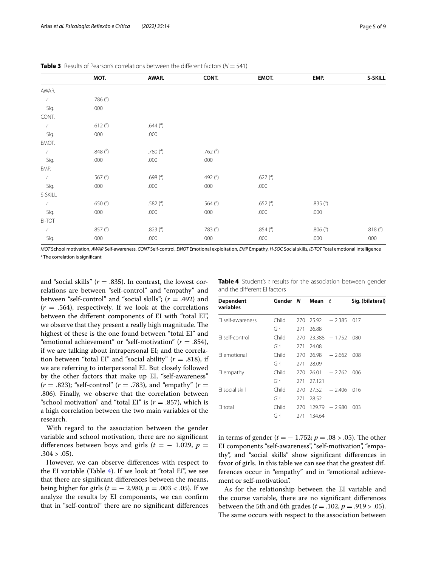|               | MOT.          | AWAR.                     | CONT.         | EMOT.       | EMP.          | S-SKILL             |
|---------------|---------------|---------------------------|---------------|-------------|---------------|---------------------|
| AWAR.         |               |                           |               |             |               |                     |
| $\mathbf{r}$  | .786 $(3)$    |                           |               |             |               |                     |
| Sig.          | .000          |                           |               |             |               |                     |
| CONT.         |               |                           |               |             |               |                     |
| $\mathcal{L}$ | .612 $(^a)$   | .644 $($ <sup>a</sup> $)$ |               |             |               |                     |
| Sig.          | .000          | .000                      |               |             |               |                     |
| EMOT.         |               |                           |               |             |               |                     |
| $\mathbf{r}$  | .848 $(3)$    | .780 $(^{a})$             | .762 $(3)$    |             |               |                     |
| Sig.          | .000          | .000                      | .000          |             |               |                     |
| EMP.          |               |                           |               |             |               |                     |
| $\mathbf{r}$  | .567 $(^a)$   | .698 $(^{a})$             | .492 $(^{a})$ | .627 $(^a)$ |               |                     |
| Sig.          | .000          | .000                      | .000          | .000        |               |                     |
| S-SKILL       |               |                           |               |             |               |                     |
| $\mathsf{r}$  | .650 $(^{a})$ | .582 $(3)$                | .564 $(^{a})$ | .652 $(^a)$ | .835 $(3)$    |                     |
| Sig.          | .000          | .000                      | .000          | .000        | .000          |                     |
| EI-TOT        |               |                           |               |             |               |                     |
| $\mathcal{L}$ | .857 $(3)$    | .823 $(^a)$               | .783 $(3)$    | .854 $(^a)$ | .806 $(^{a})$ | .818 <sup>(a)</sup> |
| Sig.          | .000          | .000                      | .000          | .000        | .000          | .000                |

<span id="page-4-0"></span>**Table 3** Results of Pearson's correlations between the different factors ( $N = 541$ )

*MOT* School motivation, *AWAR* Self-awareness, *CONT* Self-control, *EMOT* Emotional exploitation, *EMP* Empathy, *H-SOC* Social skills, *IE-TOT* Total emotional intelligence <sup>a</sup> The correlation is significant

and "social skills"  $(r = .835)$ . In contrast, the lowest correlations are between "self-control" and "empathy" and between "self-control" and "social skills"; (*r* = .492) and  $(r = .564)$ , respectively. If we look at the correlations between the diferent components of EI with "total EI", we observe that they present a really high magnitude. The highest of these is the one found between "total EI" and "emotional achievement" or "self-motivation" (*r* = .854), if we are talking about intrapersonal EI; and the correlation between "total EI" and "social ability" (*r* = .818), if we are referring to interpersonal EI. But closely followed by the other factors that make up EI, "self-awareness"  $(r = .823)$ ; "self-control"  $(r = .783)$ , and "empathy"  $(r = .923)$ .806). Finally, we observe that the correlation between "school motivation" and "total EI" is  $(r = .857)$ , which is a high correlation between the two main variables of the research.

With regard to the association between the gender variable and school motivation, there are no signifcant differences between boys and girls ( $t = -1.029$ ,  $p =$  $.304 > .05$ ).

However, we can observe diferences with respect to the EI variable (Table [4](#page-4-1)). If we look at "total EI", we see that there are signifcant diferences between the means, being higher for girls (*t* = − 2.980, *p* = .003 < .05). If we analyze the results by EI components, we can confrm that in "self-control" there are no signifcant diferences

<span id="page-4-1"></span>

|                              |  | <b>Table 4</b> Student's t results for the association between gender |  |
|------------------------------|--|-----------------------------------------------------------------------|--|
| and the different El factors |  |                                                                       |  |

| Dependent<br>variables | Gender N |     | Mean t |                            | Sig. (bilateral) |
|------------------------|----------|-----|--------|----------------------------|------------------|
| El self-awareness      | Child    |     |        | $270$ $25.92$ $-2.385$ 017 |                  |
|                        | Girl     | 271 | 26.88  |                            |                  |
| FI self-control        | Child    | 270 |        | $23.388 - 1.752$           | .080             |
|                        | Girl     | 271 | 24.08  |                            |                  |
| FI emotional           | Child    | 270 | 26.98  | $-2.662.008$               |                  |
|                        | Girl     | 271 | 28.09  |                            |                  |
| El empathy             | Child    | 270 | 26.01  | $-2.762$ 006               |                  |
|                        | Girl     | 271 | 27.121 |                            |                  |
| El social skill        | Child    | 270 | 27.52  | $-2.406$ 016               |                  |
|                        | Girl     | 271 | 28.52  |                            |                  |
| El total               | Child    | 270 |        | $129.79 - 2.980$           | .003             |
|                        | Girl     | 271 | 134.64 |                            |                  |

in terms of gender ( $t = -1.752$ ;  $p = .08 > .05$ ). The other EI components "self-awareness", "self-motivation", "empathy", and "social skills" show signifcant diferences in favor of girls. In this table we can see that the greatest differences occur in "empathy" and in "emotional achievement or self-motivation".

As for the relationship between the EI variable and the course variable, there are no signifcant diferences between the 5th and 6th grades ( $t = .102$ ,  $p = .919 > .05$ ). The same occurs with respect to the association between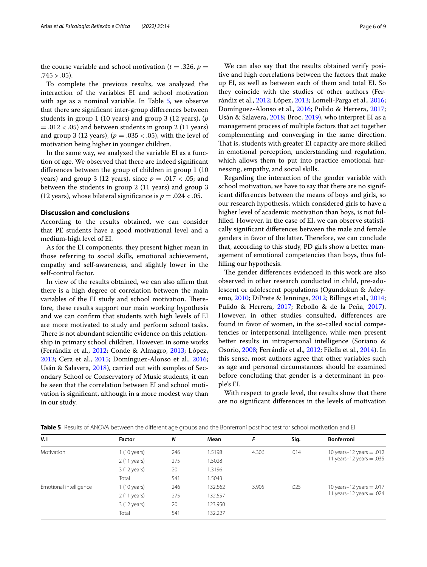the course variable and school motivation ( $t = .326$ ,  $p =$  $.745 > .05$ ).

To complete the previous results, we analyzed the interaction of the variables EI and school motivation with age as a nominal variable. In Table [5](#page-5-0), we observe that there are signifcant inter-group diferences between students in group 1 (10 years) and group 3 (12 years), (*p*  $= .012 < .05$ ) and between students in group 2 (11 years) and group 3 (12 years),  $(p=.035 < .05)$ , with the level of motivation being higher in younger children.

In the same way, we analyzed the variable EI as a function of age. We observed that there are indeed signifcant diferences between the group of children in group 1 (10 years) and group 3 (12 years), since  $p = .017 < .05$ ; and between the students in group 2 (11 years) and group 3 (12 years), whose bilateral significance is  $p = .024 < .05$ .

## **Discussion and conclusions**

According to the results obtained, we can consider that PE students have a good motivational level and a medium-high level of EI.

As for the EI components, they present higher mean in those referring to social skills, emotional achievement, empathy and self-awareness, and slightly lower in the self-control factor.

In view of the results obtained, we can also affirm that there is a high degree of correlation between the main variables of the EI study and school motivation. Therefore, these results support our main working hypothesis and we can confrm that students with high levels of EI are more motivated to study and perform school tasks. There is not abundant scientific evidence on this relationship in primary school children. However, in some works (Ferrándiz et al., [2012;](#page-7-2) Conde & Almagro, [2013](#page-7-22); López, [2013](#page-8-23); Cera et al., [2015;](#page-7-23) Domínguez-Alonso et al., [2016](#page-7-21); Usán & Salavera, [2018\)](#page-8-19), carried out with samples of Secondary School or Conservatory of Music students, it can be seen that the correlation between EI and school motivation is signifcant, although in a more modest way than in our study.

We can also say that the results obtained verify positive and high correlations between the factors that make up EI, as well as between each of them and total EI. So they coincide with the studies of other authors (Ferrándiz et al., [2012;](#page-7-2) López, [2013;](#page-8-23) Lomelí-Parga et al., [2016](#page-8-22); Domínguez-Alonso et al., [2016;](#page-7-21) Pulido & Herrera, [2017](#page-8-1); Usán & Salavera, [2018](#page-8-19); Broc, [2019\)](#page-7-30), who interpret EI as a management process of multiple factors that act together complementing and converging in the same direction. That is, students with greater EI capacity are more skilled in emotional perception, understanding and regulation, which allows them to put into practice emotional harnessing, empathy, and social skills.

Regarding the interaction of the gender variable with school motivation, we have to say that there are no significant diferences between the means of boys and girls, so our research hypothesis, which considered girls to have a higher level of academic motivation than boys, is not fulflled. However, in the case of EI, we can observe statistically signifcant diferences between the male and female genders in favor of the latter. Therefore, we can conclude that, according to this study, PD girls show a better management of emotional competencies than boys, thus fulflling our hypothesis.

The gender differences evidenced in this work are also observed in other research conducted in child, pre-adolescent or adolescent populations (Ogundokun & Adeyemo, [2010;](#page-8-34) DiPrete & Jennings, [2012;](#page-7-31) Billings et al., [2014](#page-7-26); Pulido & Herrera, [2017](#page-8-1); Rebollo & de la Peña, [2017](#page-8-2)). However, in other studies consulted, diferences are found in favor of women, in the so-called social competencies or interpersonal intelligence, while men present better results in intrapersonal intelligence (Soriano & Osorio, [2008](#page-8-35); Ferrándiz et al., [2012](#page-7-2); Filella et al., [2014](#page-7-3)). In this sense, most authors agree that other variables such as age and personal circumstances should be examined before concluding that gender is a determinant in people's EI.

With respect to grade level, the results show that there are no signifcant diferences in the levels of motivation

| V.I                    | Factor                | N   | Mean    | F     | Sig. | <b>Bonferroni</b>             |
|------------------------|-----------------------|-----|---------|-------|------|-------------------------------|
| Motivation             | $1(10 \text{ years})$ | 246 | 1.5198  | 4.306 | .014 | 10 years $-12$ years $= .012$ |
|                        | $2(11 \text{ years})$ | 275 | 1.5028  |       |      | 11 years-12 years = $.035$    |
|                        | 3 (12 years)          | 20  | .3196   |       |      |                               |
|                        | Total                 | 541 | 1.5043  |       |      |                               |
| Emotional intelligence | $1(10 \text{ years})$ | 246 | 132.562 | 3.905 | .025 | 10 years-12 years = .017      |
|                        | $2(11 \text{ years})$ | 275 | 132.557 |       |      | 11 years-12 years = $.024$    |
|                        | 3 (12 years)          | 20  | 123.950 |       |      |                               |
|                        | Total                 | 541 | 132.227 |       |      |                               |

<span id="page-5-0"></span>**Table 5** Results of ANOVA between the different age groups and the Bonferroni post hoc test for school motivation and EI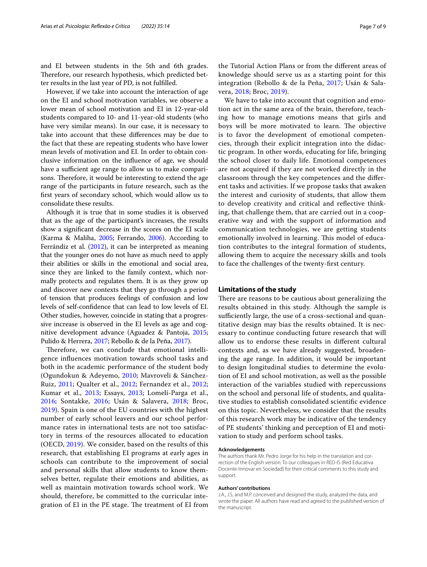and EI between students in the 5th and 6th grades. Therefore, our research hypothesis, which predicted better results in the last year of PD, is not fulflled.

However, if we take into account the interaction of age on the EI and school motivation variables, we observe a lower mean of school motivation and EI in 12-year-old students compared to 10- and 11-year-old students (who have very similar means). In our case, it is necessary to take into account that these diferences may be due to the fact that these are repeating students who have lower mean levels of motivation and EI. In order to obtain conclusive information on the infuence of age, we should have a sufficient age range to allow us to make comparisons. Therefore, it would be interesting to extend the age range of the participants in future research, such as the frst years of secondary school, which would allow us to consolidate these results.

Although it is true that in some studies it is observed that as the age of the participant's increases, the results show a signifcant decrease in the scores on the EI scale (Karma & Maliha, [2005](#page-8-26); Ferrando, [2006](#page-7-32)). According to Ferrándiz et al. ([2012](#page-7-2)), it can be interpreted as meaning that the younger ones do not have as much need to apply their abilities or skills in the emotional and social area, since they are linked to the family context, which normally protects and regulates them. It is as they grow up and discover new contexts that they go through a period of tension that produces feelings of confusion and low levels of self-confdence that can lead to low levels of EI. Other studies, however, coincide in stating that a progressive increase is observed in the EI levels as age and cognitive development advance (Aguadez & Pantoja, [2015](#page-7-5); Pulido & Herrera, [2017;](#page-8-1) Rebollo & de la Peña, [2017](#page-8-2)).

Therefore, we can conclude that emotional intelligence infuences motivation towards school tasks and both in the academic performance of the student body (Ogundokun & Adeyemo, [2010;](#page-8-34) Mavroveli & Sánchez-Ruiz, [2011;](#page-8-36) Qualter et al., [2012](#page-8-37); Fernandez et al., [2012](#page-7-33); Kumar et al., [2013;](#page-8-38) Essays, [2013;](#page-7-34) Lomelí-Parga et al., [2016;](#page-8-22) Sontakke, [2016](#page-8-21); Usán & Salavera, [2018;](#page-8-19) Broc, [2019\)](#page-7-30). Spain is one of the EU countries with the highest number of early school leavers and our school performance rates in international tests are not too satisfactory in terms of the resources allocated to education (OECD, [2019\)](#page-8-39). We consider, based on the results of this research, that establishing EI programs at early ages in schools can contribute to the improvement of social and personal skills that allow students to know themselves better, regulate their emotions and abilities, as well as maintain motivation towards school work. We should, therefore, be committed to the curricular integration of EI in the PE stage. The treatment of EI from

the Tutorial Action Plans or from the diferent areas of knowledge should serve us as a starting point for this integration (Rebollo & de la Peña, [2017](#page-8-2); Usán & Salavera, [2018;](#page-8-19) Broc, [2019\)](#page-7-30).

We have to take into account that cognition and emotion act in the same area of the brain, therefore, teaching how to manage emotions means that girls and boys will be more motivated to learn. The objective is to favor the development of emotional competencies, through their explicit integration into the didactic program. In other words, educating for life, bringing the school closer to daily life. Emotional competences are not acquired if they are not worked directly in the classroom through the key competences and the diferent tasks and activities. If we propose tasks that awaken the interest and curiosity of students, that allow them to develop creativity and critical and refective thinking, that challenge them, that are carried out in a cooperative way and with the support of information and communication technologies, we are getting students emotionally involved in learning. This model of education contributes to the integral formation of students, allowing them to acquire the necessary skills and tools to face the challenges of the twenty-frst century.

## **Limitations of the study**

There are reasons to be cautious about generalizing the results obtained in this study. Although the sample is sufficiently large, the use of a cross-sectional and quantitative design may bias the results obtained. It is necessary to continue conducting future research that will allow us to endorse these results in diferent cultural contexts and, as we have already suggested, broadening the age range. In addition, it would be important to design longitudinal studies to determine the evolution of EI and school motivation, as well as the possible interaction of the variables studied with repercussions on the school and personal life of students, and qualitative studies to establish consolidated scientifc evidence on this topic. Nevertheless, we consider that the results of this research work may be indicative of the tendency of PE students' thinking and perception of EI and motivation to study and perform school tasks.

#### **Acknowledgements**

The authors thank Mr. Pedro Jorge for his help in the translation and correction of the English version. To our colleagues in RED-IS (Red Educativa Docente-Innovar en Sociedad) for their critical comments to this study and support.

#### **Authors' contributions**

J.A., J.S, and M.P. conceived and designed the study, analyzed the data, and wrote the paper. All authors have read and agreed to the published version of the manuscript.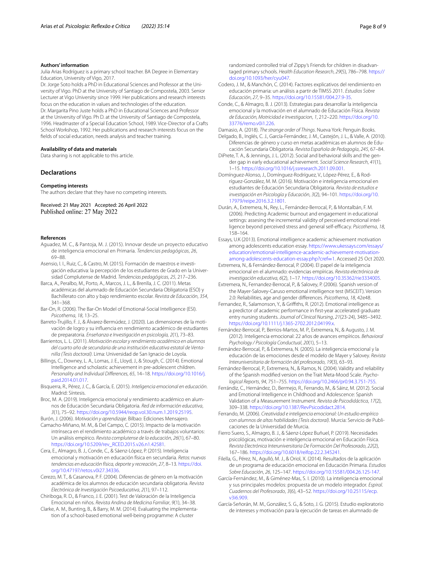#### **Authors' information**

Julia Arias Rodríguez is a primary school teacher. BA Degree in Elementary Education, University of Vigo, 2017.

Dr. Jorge Soto holds a PhD in Educational Sciences and Professor at the University of Vigo. PhD at the University of Santiago de Compostela, 2003. Senior Lecturer at Vigo University since 1999. Her publications and research interests focus on the education in values and technologies of the education. Dr. Margarita Pino Juste holds a PhD in Educational Sciences and Professor at the University of Vigo. Ph D. at the University of Santiago de Compostela, 1996. Headmaster of a Special Education School, 1989. Vice-Director of a Crafts School Workshop, 1992. Her publications and research interests focus on the felds of social education, needs analysis and teacher training.

## **Availability of data and materials**

Data sharing is not applicable to this article.

## **Declarations**

#### **Competing interests**

The authors declare that they have no competing interests.

Received: 21 May 2021 Accepted: 26 April 2022 Published online: 27 May 2022

#### **References**

- <span id="page-7-5"></span>Aguadez, M. C., & Pantoja, M. J. (2015). Innovar desde un proyecto educativo de inteligencia emocional en Primaria. *Tendencias pedagógicas*, *26*, 69–88.
- <span id="page-7-1"></span>Asensio, I. I., Ruiz, C., & Castro, M. (2015). Formación de maestros e investigación educativa: la percepción de los estudiantes de Grado en la Universidad Complutense de Madrid. *Tendencias pedagógicas*, *25*, 217–236.
- <span id="page-7-16"></span>Barca, A., Peralbo, M., Porto, A., Marcos, J. L., & Brenlla, J. C. (2011). Metas académicas del alumnado de Educación Secundaria Obligatoria (ESO) y Bachillerato con alto y bajo rendimiento escolar. *Revista de Educación*, *354*, 341–368.
- <span id="page-7-8"></span>Bar-On, R. (2006). The Bar-On Model of Emotional-Social Intelligence (ESI). *Psicothema*, *18*, 13–25.
- <span id="page-7-18"></span>Barreto-Trujillo, F. J., & Álvarez-Bermúdez, J. (2020). Las dimensiones de la motivación de logro y su infuencia en rendimiento académico de estudiantes de preparatoria. *Enseñanza e Investigación en psicología, 2*(1), 73–83.
- <span id="page-7-14"></span>Barrientos, L. L. (2011). *Motivación escolar y rendimiento académico en alumnos del cuarto año de secundaria de una institución educativa estatal de Ventanilla (Tesis doctoral)*. Lima: Universidad de San Ignacio de Loyola.
- <span id="page-7-26"></span>Billings, C., Downey, L. A., Lomas, J. E., Lloyd, J., & Stough, C. (2014). Emotional Intelligence and scholastic achievement in pre-adolescent children. *Personality and Individual Diferences*, *65*, 14–18. [https://doi.org/10.1016/j.](https://doi.org/10.1016/j.paid.2014.01.017) [paid.2014.01.017.](https://doi.org/10.1016/j.paid.2014.01.017)
- <span id="page-7-4"></span>Bisquerra, R., Pérez, J. C., & García, E. (2015). *Inteligencia emocional en educación*. Madrid: Síntesis.
- <span id="page-7-30"></span>Broc, M. A. (2019). Inteligencia emocional y rendimiento académico en alumnos de Educación Secundaria Obligatoria. *Red de información educativa*, *3*(1), 75–92.<https://doi.org/10.5944/reop.vol.30.num.1.2019.25195>.
- <span id="page-7-13"></span>Burón, J. (2006). *Motivación y aprendizaje*. Bilbao: Ediciones Mensajero.
- <span id="page-7-15"></span>Camacho-Miñano, M. M., & Del Campo, C. (2015). Impacto de la motivación intrínseca en el rendimiento académico a través de trabajos voluntarios: Un análisis empírico. *Revista complutense de la educación*, *26*(1), 67–80. [https://doi.org/10.5209/rev\\_RCED.2015.v26.n1.42581](https://doi.org/10.5209/rev_RCED.2015.v26.n1.42581).
- <span id="page-7-23"></span>Cera, E., Almagro, B. J., Conde, C., & Sáenz-López, P. (2015). Inteligencia emocional y motivación en educación física en secundaria. *Retos: nuevas tendencias en educación física, deporte y recreación*, *27*, 8–13. [https://doi.](https://doi.org/10.47197/retos.v0i27.34336) [org/10.47197/retos.v0i27.34336.](https://doi.org/10.47197/retos.v0i27.34336)
- <span id="page-7-27"></span>Cerezo, M. T., & Casanova, P. F. (2004). Diferencias de género en la motivación académica de los alumnos de educación secundaria obligatoria. *Revista Electrónica de Investigación Psicoeducativa*, *2*(1), 97–112.
- <span id="page-7-29"></span>Chiriboga, R. D., & Franco, J. E. (2001). Test de Valoración de la Inteligencia Emocional en niños. *Revista Andina de Medicina Familiar*, *9*(1), 34–38.
- <span id="page-7-19"></span>Clarke, A. M., Bunting, B., & Barry, M. M. (2014). Evaluating the implementa‑ tion of a school-based emotional well-being programme: A cluster

randomized controlled trial of Zippy's Friends for children in disadvantaged primary schools. *Health Education Research*, *29*(5), 786–798. [https://](https://doi.org/10.1093/her/cyu047) [doi.org/10.1093/her/cyu047.](https://doi.org/10.1093/her/cyu047)

- <span id="page-7-0"></span>Codero, J. M., & Manchón, C. (2014). Factores explicativos del rendimiento en educación primaria: un análisis a partir de TIMSS 2011. *Estudios Sobre Educación*, *27*, 9–35. [https://doi.org/10.15581/004.27.9-35.](https://doi.org/10.15581/004.27.9-35)
- <span id="page-7-22"></span>Conde, C., & Almagro, B. J. (2013). Estrategias para desarrollar la inteligencia emocional y la motivación en el alumnado de Educación Física. *Revista de Educación, Motricidad e Investigacion*, *1*, 212–220. [https://doi.org/10.](https://doi.org/10.33776/remo.v0i1.226) [33776/remo.v0i1.226](https://doi.org/10.33776/remo.v0i1.226)
- <span id="page-7-28"></span><span id="page-7-9"></span>Damasio, A. (2018). *The strange order of Things*. Nueva York: Penguin Books. Delgado, B., Inglés, C. J., García-Fernández, J. M., Castejón, J. L., & Valle, A. (2010). Diferencias de género y curso en metas académicas en alumnos de Educación Secundaria Obligatoria. *Revista Española de Pedagogía*, *245*, 67–84.
- <span id="page-7-31"></span>DiPrete, T. A., & Jennings, J. L. (2012). Social and behavioral skills and the gender gap in early educational achievement. *Social Science Research*, *41*(1), 1–15. [https://doi.org/10.1016/j.ssresearch.2011.09.001.](https://doi.org/10.1016/j.ssresearch.2011.09.001)
- <span id="page-7-21"></span>Domínguez-Alonso, J., Domínguez-Rodríguez, V., López-Pérez, E., & Rod‑ ríguez-González, M. M. (2016). Motivación e inteligencia emocional en estudiantes de Educación Secundaria Obligatoria. *Revista de estudios e investigación en Psicología y Educación*, *3*(2), 94–101. [https://doi.org/10.](https://doi.org/10.17979/reipe.2016.3.2.1801) [17979/reipe.2016.3.2.1801.](https://doi.org/10.17979/reipe.2016.3.2.1801)
- <span id="page-7-20"></span>Durán, A., Extremera, N., Rey, L., Fernández-Berrocal, P., & Montalbán, F. M. (2006). Predicting Academic burnout and engagement in educational settings: assesing the incremental validity of perceived emotional intelligence beyond perceived stress and general self-efficacy. *Psicothema*, 18, 158–164.
- <span id="page-7-34"></span>Essays, U.K (2013). Emotional intelligence academic achievement motivation among adolescents education essay. [https://www.ukessays.com/essays/](https://www.ukessays.com/essays/education/emotional-intelligence-academic-achievement-motivation-among-adolescents-education-essay.php?cref=1) [education/emotional-intelligence-academic-achievement-motivation](https://www.ukessays.com/essays/education/emotional-intelligence-academic-achievement-motivation-among-adolescents-education-essay.php?cref=1) [among-adolescents-education-essay.php?cref](https://www.ukessays.com/essays/education/emotional-intelligence-academic-achievement-motivation-among-adolescents-education-essay.php?cref=1)=1. Accessed 25 Oct 2020.
- <span id="page-7-6"></span>Extremera, N., & Fernández-Berrocal, P. (2004). El papel de la inteligencia emocional en el alumnado: evidencias empíricas. *Revista electrónica de investigación educativa*, *6*(2), 1–17. <https://doi.org/10.35362/rie3334005>.
- <span id="page-7-25"></span>Extremera, N., Fernandez-Berrocal, P., & Salovey, P. (2006). Spanish version of the Mayer-Salovey-Caruso emotional intelligence test (MSCEIT). Version 2.0: Reliabilities, age and gender diferences. *Psicothema*, *18*, 42e48.
- <span id="page-7-33"></span>Fernandez, R., Salamonson, Y., & Grifths, R. (2012). Emotional intelligence as a predictor of academic performance in frst-year accelerated graduate entry nursing students. *Journal of Clinical Nursing*, *21*(23-24), 3485–3492. [https://doi.org/10.1111/j.1365-2702.2012.04199.x.](https://doi.org/10.1111/j.1365-2702.2012.04199.x)
- <span id="page-7-11"></span>Fernández-Berrocal, P., Berrios-Martos, M. P., Extremera, N., & Augusto, J. M. (2012). Inteligencia emocional: 22 años de avances empíricos. *Behavioral Psychology / Psicología Conductual*, *20*(1), 5–13.
- <span id="page-7-12"></span>Fernández-Berrocal, P., & Extremera, N. (2005). La inteligencia emocional y la educación de las emociones desde el modelo de Mayer y Salovey. *Revista Interuniversitaria de formación del profesorado*, *19*(3), 63–93.
- <span id="page-7-7"></span>Fernández-Berrocal, P., Extremera, N., & Ramos, N. (2004). Validity and reliability of the Spanish modifed version on the Trait Meta-Mood Scale. *Psychological Reports*, *94*, 751–755. [https://doi.org/10.2466/pr0.94.3.751-755.](https://doi.org/10.2466/pr0.94.3.751-755)
- <span id="page-7-2"></span>Ferrándiz, C., Hernández, D., Bermejo, R., Ferrando, M., & Sáinz, M. (2012). Social and Emotional Intelligence in Childhood and Adolescence: Spanish Validation of a Measurement Instrument. *Revista de Psicodidáctica*, *17*(2), 309–338.<https://doi.org/10.1387/RevPsicodidact.2814>.
- <span id="page-7-32"></span>Ferrando, M. (2006). *Creatividad e inteligencia emocional: Un estudio empírico con alumnos de altas habilidades (Tesis doctoral)*. Murcia: Servicio de Publi‑ caciones de la Universidad de Murcia.
- <span id="page-7-24"></span>Fierro Suero, S., Almagro, B. J., & Sáenz-López Buñuel, P. (2019). Necesidades psicológicas, motivación e inteligencia emocional en Educación Física. *Revista Electrónica Interuniversitaria De Formación Del Profesorado*, *22*(2), 167–186.<https://doi.org/10.6018/reifop.22.2.345241>.
- <span id="page-7-3"></span>Filella, G., Pérez, N., Agulló, M. J., & Oriol, X. (2014). Resultados de la aplicación de un programa de educación emocional en Educación Primaria. *Estudios Sobre Educación*, *26*, 125–147. <https://doi.org/10.15581/004.26.125-147>.
- <span id="page-7-10"></span>García-Fernández, M., & Giménez-Mas, S. I. (2010). La inteligencia emocional y sus principales modelos: propuesta de un modelo integrador. *Espiral. Cuadernos del Profesorado*, *3*(6), 43–52. [https://doi.org/10.25115/ecp.](https://doi.org/10.25115/ecp.v3i6.909) [v3i6.909.](https://doi.org/10.25115/ecp.v3i6.909)
- <span id="page-7-17"></span>García-Señorán, M. M., González, S. G., & Soto, J. G. (2015). Estudio exploratorio de intereses y motivación para la ejecución de tareas en alumnado de